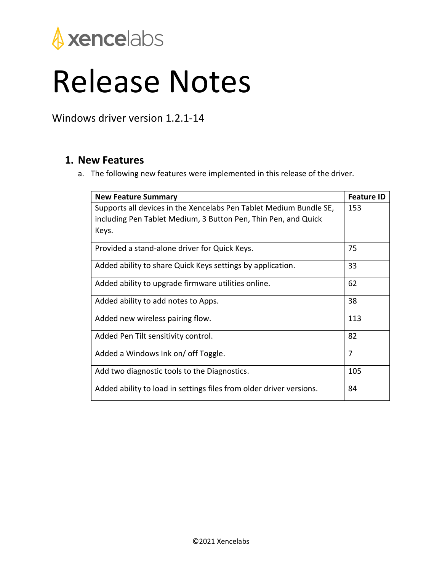

## Release Notes

Windows driver version 1.2.1-14

## **1. New Features**

a. The following new features were implemented in this release of the driver.

| <b>New Feature Summary</b>                                          | <b>Feature ID</b> |
|---------------------------------------------------------------------|-------------------|
| Supports all devices in the Xencelabs Pen Tablet Medium Bundle SE,  | 153               |
| including Pen Tablet Medium, 3 Button Pen, Thin Pen, and Quick      |                   |
| Keys.                                                               |                   |
| Provided a stand-alone driver for Quick Keys.                       | 75                |
| Added ability to share Quick Keys settings by application.          | 33                |
| Added ability to upgrade firmware utilities online.                 | 62                |
| Added ability to add notes to Apps.                                 | 38                |
| Added new wireless pairing flow.                                    | 113               |
| Added Pen Tilt sensitivity control.                                 | 82                |
| Added a Windows Ink on/ off Toggle.                                 | 7                 |
| Add two diagnostic tools to the Diagnostics.                        | 105               |
| Added ability to load in settings files from older driver versions. | 84                |